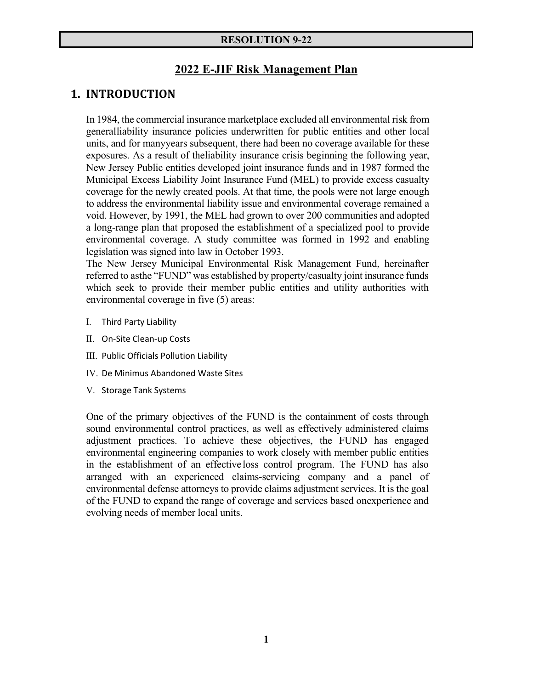#### **RESOLUTION 9-22**

### **2022 E-JIF Risk Management Plan**

### **1. INTRODUCTION**

In 1984, the commercial insurance marketplace excluded all environmental risk from general liability insurance policies underwritten for public entities and other local units, and for many years subsequent, there had been no coverage available for these exposures. As a result of the liability insurance crisis beginning the following year, New Jersey Public entities developed joint insurance funds and in 1987 formed the Municipal Excess Liability Joint Insurance Fund (MEL) to provide excess casualty coverage for the newly created pools. At that time, the pools were not large enough to address the environmental liability issue and environmental coverage remained a void. However, by 1991, the MEL had grown to over 200 communities and adopted a long-range plan that proposed the establishment of a specialized pool to provide environmental coverage. A study committee was formed in 1992 and enabling legislation was signed into law in October 1993.

The New Jersey Municipal Environmental Risk Management Fund, hereinafter referred to as the "FUND" was established by property/casualty joint insurance funds which seek to provide their member public entities and utility authorities with environmental coverage in five (5) areas:

- I. Third Party Liability
- II. On‐Site Clean‐up Costs
- III. Public Officials Pollution Liability
- IV. De Minimus Abandoned Waste Sites
- V. Storage Tank Systems

One of the primary objectives of the FUND is the containment of costs through sound environmental control practices, as well as effectively administered claims adjustment practices. To achieve these objectives, the FUND has engaged environmental engineering companies to work closely with member public entities in the establishment of an effective loss control program. The FUND has also arranged with an experienced claims-servicing company and a panel of environmental defense attorneys to provide claims adjustment services. It is the goal of the FUND to expand the range of coverage and services based on experience and evolving needs of member local units.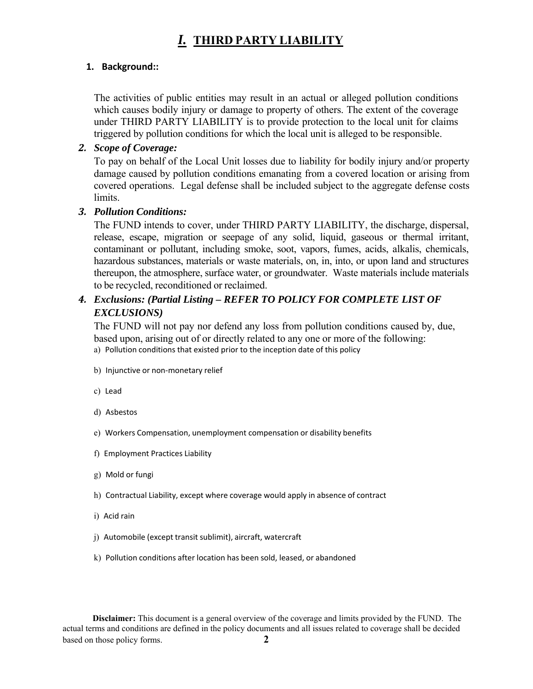# *I.* **THIRD PARTY LIABILITY**

### **1. Background::**

The activities of public entities may result in an actual or alleged pollution conditions which causes bodily injury or damage to property of others. The extent of the coverage under THIRD PARTY LIABILITY is to provide protection to the local unit for claims triggered by pollution conditions for which the local unit is alleged to be responsible.

### *2. Scope of Coverage:*

To pay on behalf of the Local Unit losses due to liability for bodily injury and/or property damage caused by pollution conditions emanating from a covered location or arising from covered operations. Legal defense shall be included subject to the aggregate defense costs limits.

### *3. Pollution Conditions:*

The FUND intends to cover, under THIRD PARTY LIABILITY, the discharge, dispersal, release, escape, migration or seepage of any solid, liquid, gaseous or thermal irritant, contaminant or pollutant, including smoke, soot, vapors, fumes, acids, alkalis, chemicals, hazardous substances, materials or waste materials, on, in, into, or upon land and structures thereupon, the atmosphere, surface water, or groundwater. Waste materials include materials to be recycled, reconditioned or reclaimed.

## *4. Exclusions: (Partial Listing – REFER TO POLICY FOR COMPLETE LIST OF EXCLUSIONS)*

The FUND will not pay nor defend any loss from pollution conditions caused by, due, based upon, arising out of or directly related to any one or more of the following:

- a) Pollution conditions that existed prior to the inception date of this policy
- b) Injunctive or non-monetary relief
- c) Lead
- d) Asbestos
- e) Workers Compensation, unemployment compensation or disability benefits
- f) Employment Practices Liability
- g) Mold or fungi
- h) Contractual Liability, except where coverage would apply in absence of contract
- i) Acid rain
- j) Automobile (except transit sublimit), aircraft, watercraft
- k) Pollution conditions after location has been sold, leased, or abandoned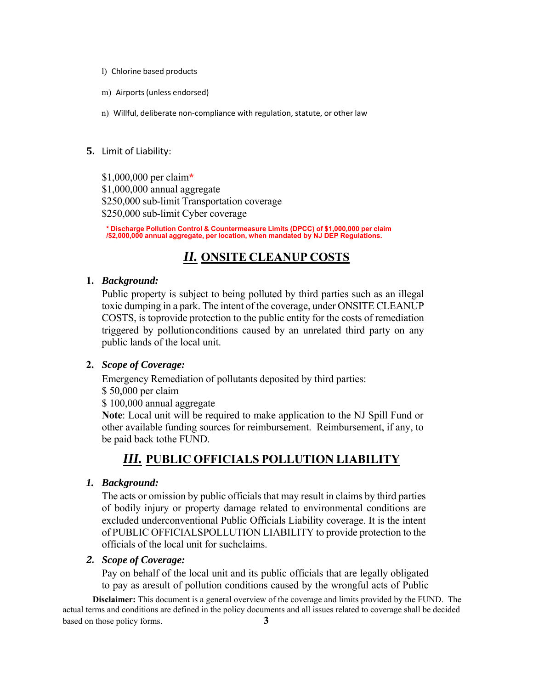- l) Chlorine based products
- m) Airports (unless endorsed)
- n) Willful, deliberate non-compliance with regulation, statute, or other law

#### **5.** Limit of Liability:

\$1,000,000 per claim**\*** \$1,000,000 annual aggregate \$250,000 sub-limit Transportation coverage \$250,000 sub-limit Cyber coverage

**\* Discharge Pollution Control & Countermeasure Limits (DPCC) of \$1,000,000 per claim /\$2,000,000 annual aggregate, per location, when mandated by NJ DEP Regulations.** 

# *II.* **ONSITE CLEANUP COSTS**

#### **1.** *Background:*

Public property is subject to being polluted by third parties such as an illegal toxic dumping in a park. The intent of the coverage, under ONSITE CLEANUP COSTS, is to provide protection to the public entity for the costs of remediation triggered by pollution conditions caused by an unrelated third party on any public lands of the local unit.

#### **2.** *Scope of Coverage:*

Emergency Remediation of pollutants deposited by third parties:

\$ 50,000 per claim

\$ 100,000 annual aggregate

**Note**: Local unit will be required to make application to the NJ Spill Fund or other available funding sources for reimbursement. Reimbursement, if any, to be paid back to the FUND.

# *III.* **PUBLIC OFFICIALS POLLUTION LIABILITY**

#### *1. Background:*

The acts or omission by public officials that may result in claims by third parties of bodily injury or property damage related to environmental conditions are excluded under conventional Public Officials Liability coverage. It is the intent of PUBLIC OFFICIALS POLLUTION LIABILITY to provide protection to the officials of the local unit for such claims.

#### *2. Scope of Coverage:*

Pay on behalf of the local unit and its public officials that are legally obligated to pay as a result of pollution conditions caused by the wrongful acts of Public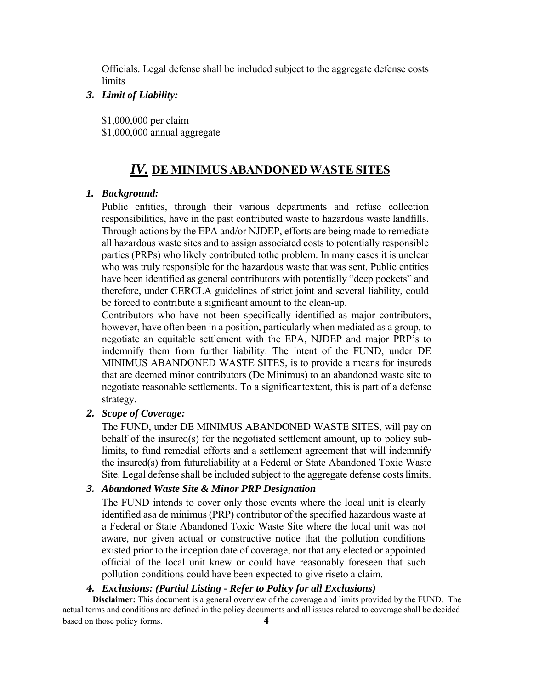Officials. Legal defense shall be included subject to the aggregate defense costs limits

#### *3. Limit of Liability:*

\$1,000,000 per claim \$1,000,000 annual aggregate

#### *IV.* **DE MINIMUS ABANDONED WASTE SITES**

#### *1. Background:*

Public entities, through their various departments and refuse collection responsibilities, have in the past contributed waste to hazardous waste landfills. Through actions by the EPA and/or NJDEP, efforts are being made to remediate all hazardous waste sites and to assign associated costs to potentially responsible parties (PRPs) who likely contributed to the problem. In many cases it is unclear who was truly responsible for the hazardous waste that was sent. Public entities have been identified as general contributors with potentially "deep pockets" and therefore, under CERCLA guidelines of strict joint and several liability, could be forced to contribute a significant amount to the clean-up.

Contributors who have not been specifically identified as major contributors, however, have often been in a position, particularly when mediated as a group, to negotiate an equitable settlement with the EPA, NJDEP and major PRP's to indemnify them from further liability. The intent of the FUND, under DE MINIMUS ABANDONED WASTE SITES, is to provide a means for insureds that are deemed minor contributors (De Minimus) to an abandoned waste site to negotiate reasonable settlements. To a significant extent, this is part of a defense strategy.

#### *2. Scope of Coverage:*

The FUND, under DE MINIMUS ABANDONED WASTE SITES, will pay on behalf of the insured(s) for the negotiated settlement amount, up to policy sublimits, to fund remedial efforts and a settlement agreement that will indemnify the insured(s) from future liability at a Federal or State Abandoned Toxic Waste Site. Legal defense shall be included subject to the aggregate defense costs limits.

#### *3. Abandoned Waste Site & Minor PRP Designation*

The FUND intends to cover only those events where the local unit is clearly identified as a de minimus (PRP) contributor of the specified hazardous waste at a Federal or State Abandoned Toxic Waste Site where the local unit was not aware, nor given actual or constructive notice that the pollution conditions existed prior to the inception date of coverage, nor that any elected or appointed official of the local unit knew or could have reasonably foreseen that such pollution conditions could have been expected to give rise to a claim.

#### *4. Exclusions: (Partial Listing - Refer to Policy for all Exclusions)*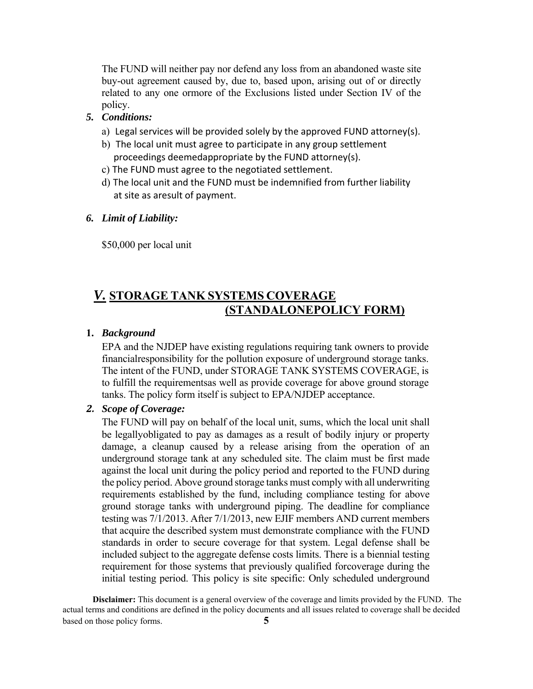The FUND will neither pay nor defend any loss from an abandoned waste site buy-out agreement caused by, due to, based upon, arising out of or directly related to any one ormore of the Exclusions listed under Section IV of the policy.

#### *5. Conditions:*

- a) Legal services will be provided solely by the approved FUND attorney(s).
- b) The local unit must agree to participate in any group settlement proceedings deemed appropriate by the FUND attorney(s).
- c) The FUND must agree to the negotiated settlement.
- d) The local unit and the FUND must be indemnified from further liability at site as aresult of payment.

#### *6. Limit of Liability:*

\$50,000 per local unit

# *V.* **STORAGE TANK SYSTEMS COVERAGE (STANDALONE POLICY FORM)**

#### **1.** *Background*

EPA and the NJDEP have existing regulations requiring tank owners to provide financial responsibility for the pollution exposure of underground storage tanks. The intent of the FUND, under STORAGE TANK SYSTEMS COVERAGE, is to fulfill the requirementsas well as provide coverage for above ground storage tanks. The policy form itself is subject to EPA/NJDEP acceptance.

#### *2. Scope of Coverage:*

The FUND will pay on behalf of the local unit, sums, which the local unit shall be legally obligated to pay as damages as a result of bodily injury or property damage, a cleanup caused by a release arising from the operation of an underground storage tank at any scheduled site. The claim must be first made against the local unit during the policy period and reported to the FUND during the policy period. Above ground storage tanks must comply with all underwriting requirements established by the fund, including compliance testing for above ground storage tanks with underground piping. The deadline for compliance testing was 7/1/2013. After 7/1/2013, new EJIF members AND current members that acquire the described system must demonstrate compliance with the FUND standards in order to secure coverage for that system. Legal defense shall be included subject to the aggregate defense costs limits. There is a biennial testing requirement for those systems that previously qualified for coverage during the initial testing period. This policy is site specific: Only scheduled underground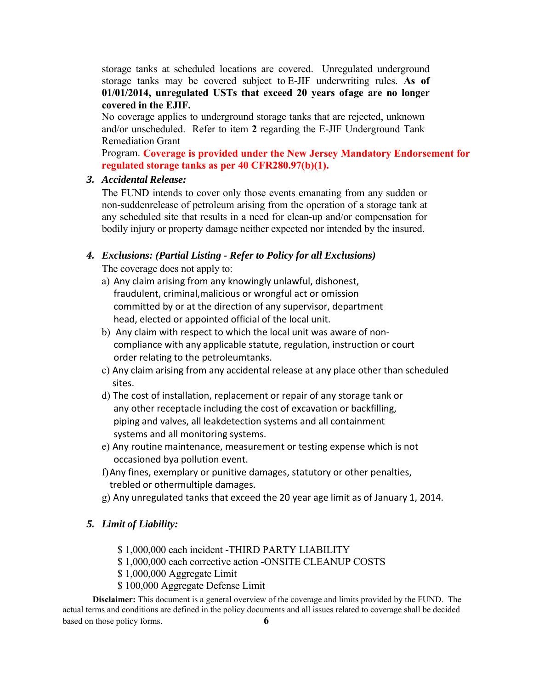storage tanks at scheduled locations are covered. Unregulated underground storage tanks may be covered subject to E-JIF underwriting rules. **As of 01/01/2014, unregulated USTs that exceed 20 years of age are no longer covered in the EJIF.** 

No coverage applies to underground storage tanks that are rejected, unknown and/or unscheduled. Refer to item **2** regarding the E-JIF Underground Tank Remediation Grant

Program. **Coverage is provided under the New Jersey Mandatory Endorsement for regulated storage tanks as per 40 CFR280.97(b)(1).**

#### *3. Accidental Release:*

The FUND intends to cover only those events emanating from any sudden or non-sudden release of petroleum arising from the operation of a storage tank at any scheduled site that results in a need for clean-up and/or compensation for bodily injury or property damage neither expected nor intended by the insured.

#### *4. Exclusions: (Partial Listing - Refer to Policy for all Exclusions)*

The coverage does not apply to:

- a) Any claim arising from any knowingly unlawful, dishonest, fraudulent, criminal, malicious or wrongful act or omission committed by or at the direction of any supervisor, department head, elected or appointed official of the local unit.
- b) Any claim with respect to which the local unit was aware of noncompliance with any applicable statute, regulation, instruction or court order relating to the petroleumtanks.
- c) Any claim arising from any accidental release at any place other than scheduled sites.
- d) The cost of installation, replacement or repair of any storage tank or any other receptacle including the cost of excavation or backfilling, piping and valves, all leak detection systems and all containment systems and all monitoring systems.
- e) Any routine maintenance, measurement or testing expense which is not occasioned by a pollution event.
- f)Any fines, exemplary or punitive damages, statutory or other penalties, trebled or other multiple damages.
- g) Any unregulated tanks that exceed the 20 year age limit as of January 1, 2014.

#### *5. Limit of Liability:*

- \$ 1,000,000 each incident -THIRD PARTY LIABILITY
- \$ 1,000,000 each corrective action -ONSITE CLEANUP COSTS
- \$ 1,000,000 Aggregate Limit
- \$ 100,000 Aggregate Defense Limit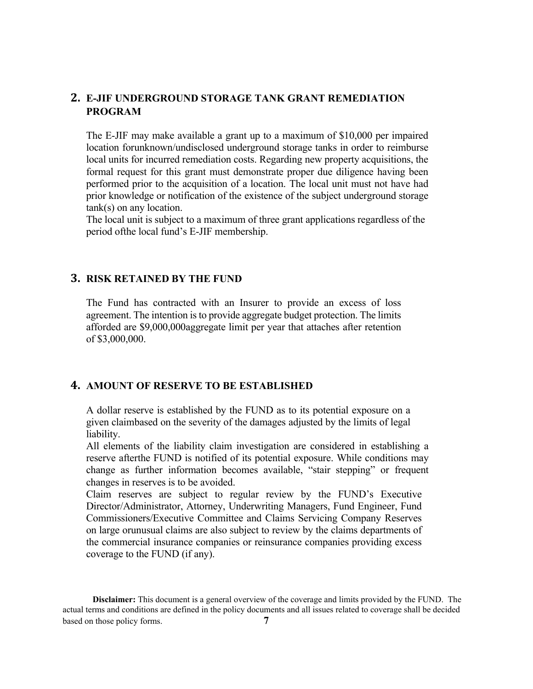### **2. E-JIF UNDERGROUND STORAGE TANK GRANT REMEDIATION PROGRAM**

The E-JIF may make available a grant up to a maximum of \$10,000 per impaired location for unknown/undisclosed underground storage tanks in order to reimburse local units for incurred remediation costs. Regarding new property acquisitions, the formal request for this grant must demonstrate proper due diligence having been performed prior to the acquisition of a location. The local unit must not have had prior knowledge or notification of the existence of the subject underground storage tank(s) on any location.

The local unit is subject to a maximum of three grant applications regardless of the period of the local fund's E-JIF membership.

### **3. RISK RETAINED BY THE FUND**

The Fund has contracted with an Insurer to provide an excess of loss agreement. The intention is to provide aggregate budget protection. The limits afforded are \$9,000,000 aggregate limit per year that attaches after retention of \$3,000,000.

#### **4. AMOUNT OF RESERVE TO BE ESTABLISHED**

A dollar reserve is established by the FUND as to its potential exposure on a given claim based on the severity of the damages adjusted by the limits of legal liability.

All elements of the liability claim investigation are considered in establishing a reserve after the FUND is notified of its potential exposure. While conditions may change as further information becomes available, "stair stepping" or frequent changes in reserves is to be avoided.

Claim reserves are subject to regular review by the FUND's Executive Director/Administrator, Attorney, Underwriting Managers, Fund Engineer, Fund Commissioners/Executive Committee and Claims Servicing Company Reserves on large or unusual claims are also subject to review by the claims departments of the commercial insurance companies or reinsurance companies providing excess coverage to the FUND (if any).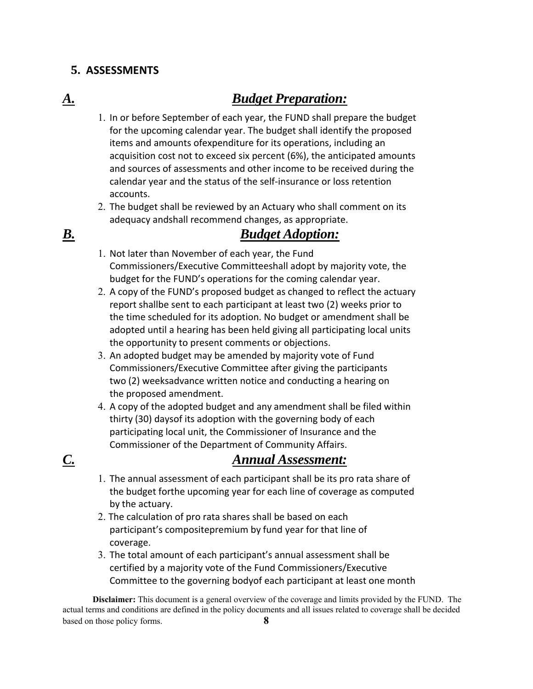# **5. ASSESSMENTS**

# *A. Budget Preparation:*

- 1. In or before September of each year, the FUND shall prepare the budget for the upcoming calendar year. The budget shall identify the proposed items and amounts of expenditure for its operations, including an acquisition cost not to exceed six percent (6%), the anticipated amounts and sources of assessments and other income to be received during the calendar year and the status of the self‐insurance or loss retention accounts.
- 2. The budget shall be reviewed by an Actuary who shall comment on its adequacy and shall recommend changes, as appropriate.

# *B. Budget Adoption:*

- 1. Not later than November of each year, the Fund Commissioners/Executive Committee shall adopt by majority vote, the budget for the FUND's operations for the coming calendar year.
- 2. A copy of the FUND's proposed budget as changed to reflect the actuary report shallbe sent to each participant at least two (2) weeks prior to the time scheduled for its adoption. No budget or amendment shall be adopted until a hearing has been held giving all participating local units the opportunity to present comments or objections.
- 3. An adopted budget may be amended by majority vote of Fund Commissioners/Executive Committee after giving the participants two (2) weeksadvance written notice and conducting a hearing on the proposed amendment.
- 4. A copy of the adopted budget and any amendment shall be filed within thirty (30) days of its adoption with the governing body of each participating local unit, the Commissioner of Insurance and the Commissioner of the Department of Community Affairs.

# *C. Annual Assessment:*

- 1. The annual assessment of each participant shall be its pro rata share of the budget forthe upcoming year for each line of coverage as computed by the actuary.
- 2. The calculation of pro rata shares shall be based on each participant's composite premium by fund year for that line of coverage.
- 3. The total amount of each participant's annual assessment shall be certified by a majority vote of the Fund Commissioners/Executive Committee to the governing body of each participant at least one month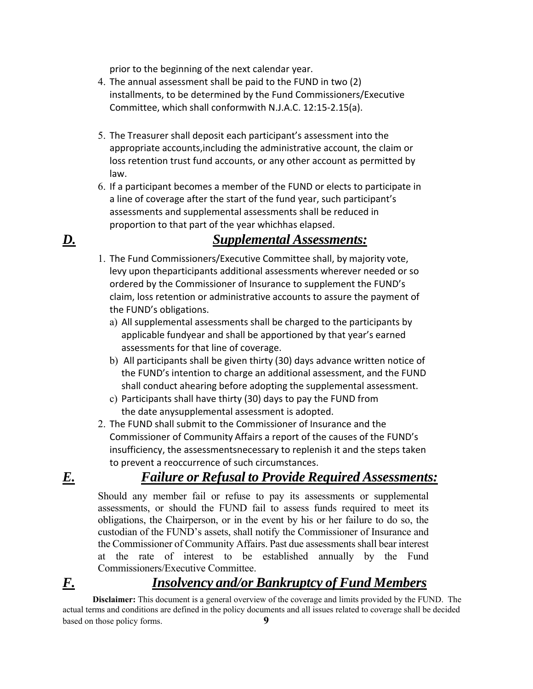prior to the beginning of the next calendar year.

- 4. The annual assessment shall be paid to the FUND in two (2) installments, to be determined by the Fund Commissioners/Executive Committee, which shall conform with N.J.A.C. 12:15‐2.15(a).
- 5. The Treasurer shall deposit each participant's assessment into the appropriate accounts, including the administrative account, the claim or loss retention trust fund accounts, or any other account as permitted by law.
- 6. If a participant becomes a member of the FUND or elects to participate in a line of coverage after the start of the fund year, such participant's assessments and supplemental assessments shall be reduced in proportion to that part of the year which has elapsed.

# *D. Supplemental Assessments:*

- 1. The Fund Commissioners/Executive Committee shall, by majority vote, levy upon the participants additional assessments wherever needed or so ordered by the Commissioner of Insurance to supplement the FUND's claim, loss retention or administrative accounts to assure the payment of the FUND's obligations.
	- a) All supplemental assessments shall be charged to the participants by applicable fundyear and shall be apportioned by that year's earned assessments for that line of coverage.
	- b) All participants shall be given thirty (30) days advance written notice of the FUND's intention to charge an additional assessment, and the FUND shall conduct ahearing before adopting the supplemental assessment.
	- c) Participants shall have thirty (30) days to pay the FUND from the date any supplemental assessment is adopted.
- 2. The FUND shall submit to the Commissioner of Insurance and the Commissioner of Community Affairs a report of the causes of the FUND's insufficiency, the assessmentsnecessary to replenish it and the steps taken to prevent a reoccurrence of such circumstances.

# *E. Failure or Refusal to Provide Required Assessments:*

Should any member fail or refuse to pay its assessments or supplemental assessments, or should the FUND fail to assess funds required to meet its obligations, the Chairperson, or in the event by his or her failure to do so, the custodian of the FUND's assets, shall notify the Commissioner of Insurance and the Commissioner of Community Affairs. Past due assessments shall bear interest at the rate of interest to be established annually by the Fund Commissioners/Executive Committee.

# *F. Insolvency and/or Bankruptcy of Fund Members*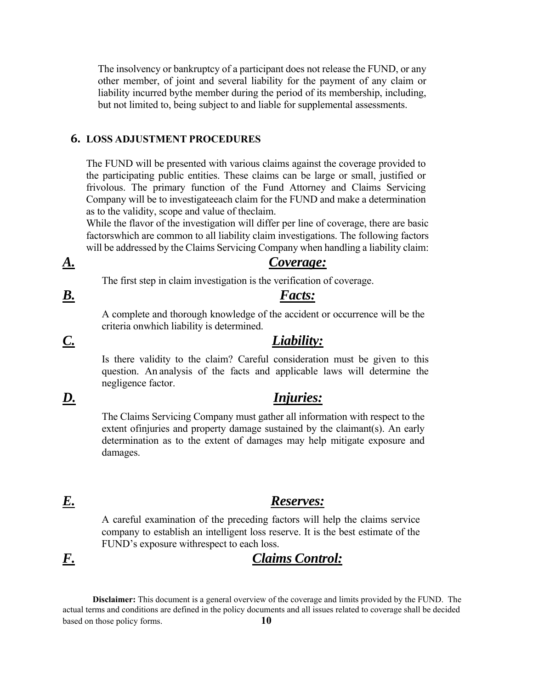The insolvency or bankruptcy of a participant does not release the FUND, or any other member, of joint and several liability for the payment of any claim or liability incurred by the member during the period of its membership, including, but not limited to, being subject to and liable for supplemental assessments.

#### **6. LOSS ADJUSTMENT PROCEDURES**

The FUND will be presented with various claims against the coverage provided to the participating public entities. These claims can be large or small, justified or frivolous. The primary function of the Fund Attorney and Claims Servicing Company will be to investigate each claim for the FUND and make a determination as to the validity, scope and value of the claim.

While the flavor of the investigation will differ per line of coverage, there are basic factors which are common to all liability claim investigations. The following factors will be addressed by the Claims Servicing Company when handling a liability claim:

#### *A. Coverage:*

The first step in claim investigation is the verification of coverage.

# *B. Facts:*

A complete and thorough knowledge of the accident or occurrence will be the criteria on which liability is determined.

# *C. Liability:*

Is there validity to the claim? Careful consideration must be given to this question. An analysis of the facts and applicable laws will determine the negligence factor.

## *D. Injuries:*

The Claims Servicing Company must gather all information with respect to the extent of injuries and property damage sustained by the claimant  $(s)$ . An early determination as to the extent of damages may help mitigate exposure and damages.

### *E. Reserves:*

A careful examination of the preceding factors will help the claims service company to establish an intelligent loss reserve. It is the best estimate of the FUND's exposure with respect to each loss.

# *F. Claims Control:*